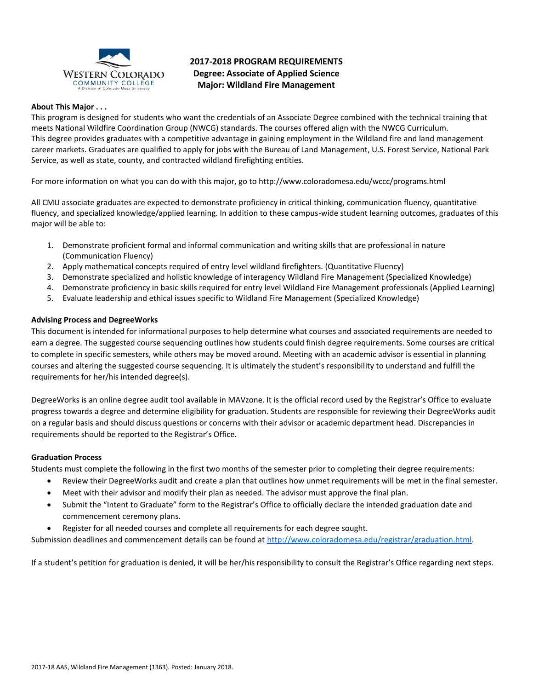

# **2017-2018 PROGRAM REQUIREMENTS Degree: Associate of Applied Science Major: Wildland Fire Management**

# **About This Major . . .**

This program is designed for students who want the credentials of an Associate Degree combined with the technical training that meets National Wildfire Coordination Group (NWCG) standards. The courses offered align with the NWCG Curriculum. This degree provides graduates with a competitive advantage in gaining employment in the Wildland fire and land management career markets. Graduates are qualified to apply for jobs with the Bureau of Land Management, U.S. Forest Service, National Park Service, as well as state, county, and contracted wildland firefighting entities.

For more information on what you can do with this major, go to http://www.coloradomesa.edu/wccc/programs.html

All CMU associate graduates are expected to demonstrate proficiency in critical thinking, communication fluency, quantitative fluency, and specialized knowledge/applied learning. In addition to these campus-wide student learning outcomes, graduates of this major will be able to:

- 1. Demonstrate proficient formal and informal communication and writing skills that are professional in nature (Communication Fluency)
- 2. Apply mathematical concepts required of entry level wildland firefighters. (Quantitative Fluency)
- 3. Demonstrate specialized and holistic knowledge of interagency Wildland Fire Management (Specialized Knowledge)
- 4. Demonstrate proficiency in basic skills required for entry level Wildland Fire Management professionals (Applied Learning)
- 5. Evaluate leadership and ethical issues specific to Wildland Fire Management (Specialized Knowledge)

### **Advising Process and DegreeWorks**

This document is intended for informational purposes to help determine what courses and associated requirements are needed to earn a degree. The suggested course sequencing outlines how students could finish degree requirements. Some courses are critical to complete in specific semesters, while others may be moved around. Meeting with an academic advisor is essential in planning courses and altering the suggested course sequencing. It is ultimately the student's responsibility to understand and fulfill the requirements for her/his intended degree(s).

DegreeWorks is an online degree audit tool available in MAVzone. It is the official record used by the Registrar's Office to evaluate progress towards a degree and determine eligibility for graduation. Students are responsible for reviewing their DegreeWorks audit on a regular basis and should discuss questions or concerns with their advisor or academic department head. Discrepancies in requirements should be reported to the Registrar's Office.

#### **Graduation Process**

Students must complete the following in the first two months of the semester prior to completing their degree requirements:

- Review their DegreeWorks audit and create a plan that outlines how unmet requirements will be met in the final semester.
- Meet with their advisor and modify their plan as needed. The advisor must approve the final plan.
- Submit the "Intent to Graduate" form to the Registrar's Office to officially declare the intended graduation date and commencement ceremony plans.
- Register for all needed courses and complete all requirements for each degree sought.

Submission deadlines and commencement details can be found at [http://www.coloradomesa.edu/registrar/graduation.html.](http://www.coloradomesa.edu/registrar/graduation.html)

If a student's petition for graduation is denied, it will be her/his responsibility to consult the Registrar's Office regarding next steps.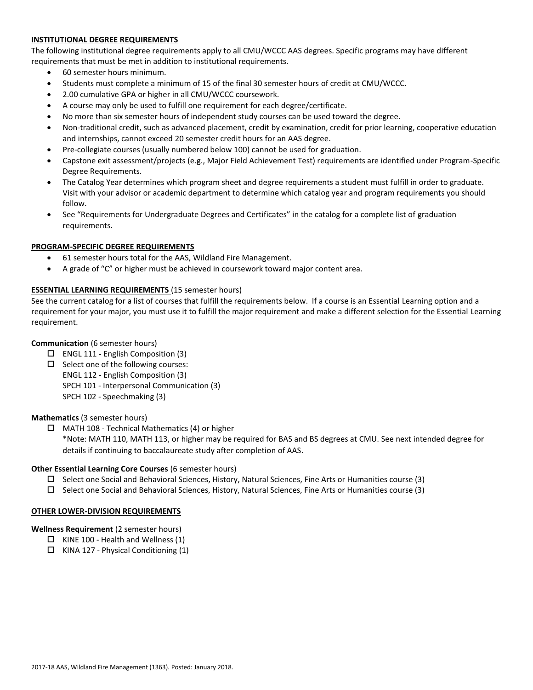# **INSTITUTIONAL DEGREE REQUIREMENTS**

The following institutional degree requirements apply to all CMU/WCCC AAS degrees. Specific programs may have different requirements that must be met in addition to institutional requirements.

- 60 semester hours minimum.
- Students must complete a minimum of 15 of the final 30 semester hours of credit at CMU/WCCC.
- 2.00 cumulative GPA or higher in all CMU/WCCC coursework.
- A course may only be used to fulfill one requirement for each degree/certificate.
- No more than six semester hours of independent study courses can be used toward the degree.
- Non-traditional credit, such as advanced placement, credit by examination, credit for prior learning, cooperative education and internships, cannot exceed 20 semester credit hours for an AAS degree.
- Pre-collegiate courses (usually numbered below 100) cannot be used for graduation.
- Capstone exit assessment/projects (e.g., Major Field Achievement Test) requirements are identified under Program-Specific Degree Requirements.
- The Catalog Year determines which program sheet and degree requirements a student must fulfill in order to graduate. Visit with your advisor or academic department to determine which catalog year and program requirements you should follow.
- See "Requirements for Undergraduate Degrees and Certificates" in the catalog for a complete list of graduation requirements.

# **PROGRAM-SPECIFIC DEGREE REQUIREMENTS**

- 61 semester hours total for the AAS, Wildland Fire Management.
- A grade of "C" or higher must be achieved in coursework toward major content area.

### **ESSENTIAL LEARNING REQUIREMENTS** (15 semester hours)

See the current catalog for a list of courses that fulfill the requirements below. If a course is an Essential Learning option and a requirement for your major, you must use it to fulfill the major requirement and make a different selection for the Essential Learning requirement.

# **Communication** (6 semester hours)

- $\Box$  ENGL 111 English Composition (3)
- $\square$  Select one of the following courses: ENGL 112 - English Composition (3) SPCH 101 - Interpersonal Communication (3) SPCH 102 - Speechmaking (3)

#### **Mathematics** (3 semester hours)

 $\Box$  MATH 108 - Technical Mathematics (4) or higher \*Note: MATH 110, MATH 113, or higher may be required for BAS and BS degrees at CMU. See next intended degree for details if continuing to baccalaureate study after completion of AAS.

#### **Other Essential Learning Core Courses** (6 semester hours)

- $\square$  Select one Social and Behavioral Sciences, History, Natural Sciences, Fine Arts or Humanities course (3)
- $\square$  Select one Social and Behavioral Sciences, History, Natural Sciences, Fine Arts or Humanities course (3)

#### **OTHER LOWER-DIVISION REQUIREMENTS**

# **Wellness Requirement** (2 semester hours)

- $\Box$  KINE 100 Health and Wellness (1)
- $\Box$  KINA 127 Physical Conditioning (1)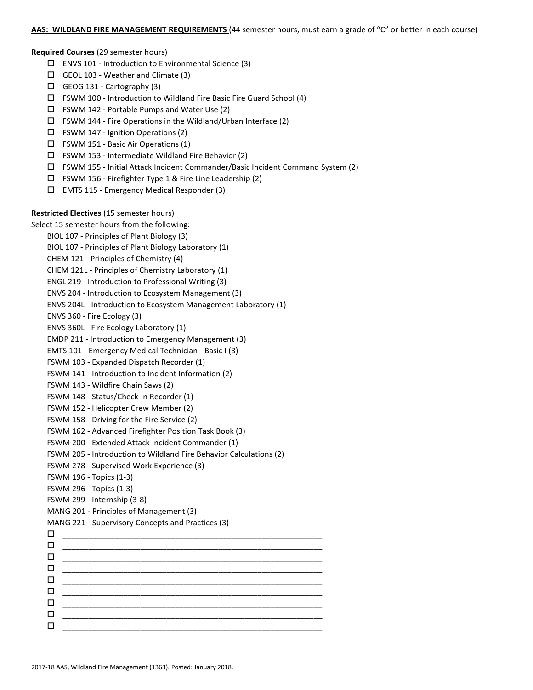#### **AAS: WILDLAND FIRE MANAGEMENT REQUIREMENTS** (44 semester hours, must earn a grade of "C" or better in each course)

**Required Courses** (29 semester hours)

- $\square$  ENVS 101 Introduction to Environmental Science (3)
- GEOL 103 Weather and Climate (3)
- GEOG 131 Cartography (3)
- $\Box$  FSWM 100 Introduction to Wildland Fire Basic Fire Guard School (4)
- $\Box$  FSWM 142 Portable Pumps and Water Use (2)
- $\Box$  FSWM 144 Fire Operations in the Wildland/Urban Interface (2)
- $\Box$  FSWM 147 Ignition Operations (2)
- FSWM 151 Basic Air Operations (1)
- $\square$  FSWM 153 Intermediate Wildland Fire Behavior (2)
- FSWM 155 Initial Attack Incident Commander/Basic Incident Command System (2)
- FSWM 156 Firefighter Type 1 & Fire Line Leadership (2)
- $\Box$  EMTS 115 Emergency Medical Responder (3)

### **Restricted Electives** (15 semester hours)

Select 15 semester hours from the following:

BIOL 107 - Principles of Plant Biology (3) BIOL 107 - Principles of Plant Biology Laboratory (1) CHEM 121 - Principles of Chemistry (4) CHEM 121L - Principles of Chemistry Laboratory (1) ENGL 219 - Introduction to Professional Writing (3) ENVS 204 - Introduction to Ecosystem Management (3) ENVS 204L - Introduction to Ecosystem Management Laboratory (1) ENVS 360 - Fire Ecology (3) ENVS 360L - Fire Ecology Laboratory (1) EMDP 211 - Introduction to Emergency Management (3) EMTS 101 - Emergency Medical Technician - Basic I (3) FSWM 103 - Expanded Dispatch Recorder (1) FSWM 141 - Introduction to Incident Information (2) FSWM 143 - Wildfire Chain Saws (2) FSWM 148 - Status/Check-in Recorder (1) FSWM 152 - Helicopter Crew Member (2) FSWM 158 - Driving for the Fire Service (2) FSWM 162 - Advanced Firefighter Position Task Book (3) FSWM 200 - Extended Attack Incident Commander (1) FSWM 205 - Introduction to Wildland Fire Behavior Calculations (2) FSWM 278 - Supervised Work Experience (3) FSWM 196 - Topics (1-3) FSWM 296 - Topics (1-3) FSWM 299 - Internship (3-8) MANG 201 - Principles of Management (3) MANG 221 - Supervisory Concepts and Practices (3) \_\_\_\_\_\_\_\_\_\_\_\_\_\_\_\_\_\_\_\_\_\_\_\_\_\_\_\_\_\_\_\_\_\_\_\_\_\_\_\_\_\_\_\_\_\_\_\_\_\_\_\_\_\_\_\_\_\_\_\_  $\Box$   $\underline{\hspace{1cm}}$   $\underline{\hspace{1cm}}$   $\underline{\hspace{1cm}}$   $\underline{\hspace{1cm}}$   $\overline{\hspace{1cm}}$   $\overline{\hspace{1cm}}$   $\overline{\hspace{1cm}}$   $\overline{\hspace{1cm}}$   $\overline{\hspace{1cm}}$   $\overline{\hspace{1cm}}$   $\overline{\hspace{1cm}}$   $\overline{\hspace{1cm}}$   $\overline{\hspace{1cm}}$   $\overline{\hspace{1cm}}$   $\overline{\hspace{1cm}}$   $\overline{\hspace{1cm}}$   $\overline{\hspace{1$  $\Box$   $\underline{\hspace{1cm}}$   $\underline{\hspace{1cm}}$   $\underline{\hspace{1cm}}$   $\underline{\hspace{1cm}}$   $\overline{\hspace{1cm}}$   $\overline{\hspace{1cm}}$   $\overline{\hspace{1cm}}$   $\overline{\hspace{1cm}}$   $\overline{\hspace{1cm}}$   $\overline{\hspace{1cm}}$   $\overline{\hspace{1cm}}$   $\overline{\hspace{1cm}}$   $\overline{\hspace{1cm}}$   $\overline{\hspace{1cm}}$   $\overline{\hspace{1cm}}$   $\overline{\hspace{1cm}}$   $\overline{\hspace{1$  \_\_\_\_\_\_\_\_\_\_\_\_\_\_\_\_\_\_\_\_\_\_\_\_\_\_\_\_\_\_\_\_\_\_\_\_\_\_\_\_\_\_\_\_\_\_\_\_\_\_\_\_\_\_\_\_\_\_\_\_ \_\_\_\_\_\_\_\_\_\_\_\_\_\_\_\_\_\_\_\_\_\_\_\_\_\_\_\_\_\_\_\_\_\_\_\_\_\_\_\_\_\_\_\_\_\_\_\_\_\_\_\_\_\_\_\_\_\_\_\_ \_\_\_\_\_\_\_\_\_\_\_\_\_\_\_\_\_\_\_\_\_\_\_\_\_\_\_\_\_\_\_\_\_\_\_\_\_\_\_\_\_\_\_\_\_\_\_\_\_\_\_\_\_\_\_\_\_\_\_\_ \_\_\_\_\_\_\_\_\_\_\_\_\_\_\_\_\_\_\_\_\_\_\_\_\_\_\_\_\_\_\_\_\_\_\_\_\_\_\_\_\_\_\_\_\_\_\_\_\_\_\_\_\_\_\_\_\_\_\_\_ \_\_\_\_\_\_\_\_\_\_\_\_\_\_\_\_\_\_\_\_\_\_\_\_\_\_\_\_\_\_\_\_\_\_\_\_\_\_\_\_\_\_\_\_\_\_\_\_\_\_\_\_\_\_\_\_\_\_\_\_ \_\_\_\_\_\_\_\_\_\_\_\_\_\_\_\_\_\_\_\_\_\_\_\_\_\_\_\_\_\_\_\_\_\_\_\_\_\_\_\_\_\_\_\_\_\_\_\_\_\_\_\_\_\_\_\_\_\_\_\_